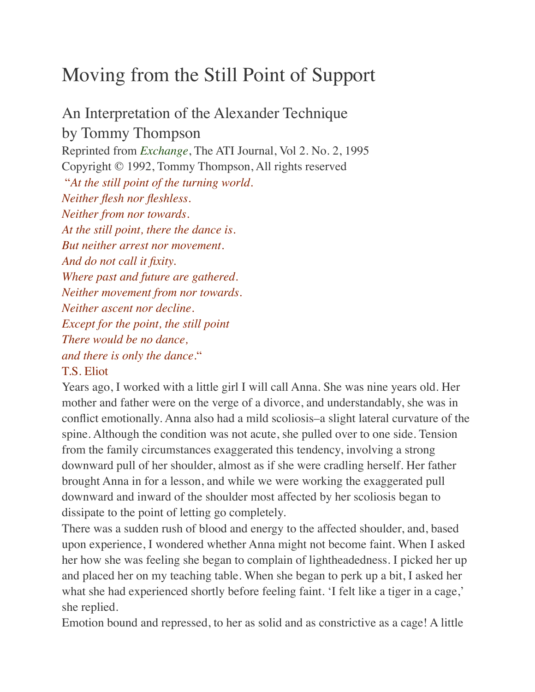## Moving from the Still Point of Support

An Interpretation of the Alexander Technique by Tommy Thompson Reprinted from *[Exchange](http://www.ati-net.com/exchange.php)*, The ATI Journal, Vol 2. No. 2, 1995 Copyright © 1992, Tommy Thompson, All rights reserved "*At the still point of the turning world. Neither flesh nor fleshless. Neither from nor towards. At the still point, there the dance is. But neither arrest nor movement. And do not call it fixity. Where past and future are gathered. Neither movement from nor towards. Neither ascent nor decline. Except for the point, the still point There would be no dance, and there is only the dance.*" T.S. Eliot

Years ago, I worked with a little girl I will call Anna. She was nine years old. Her mother and father were on the verge of a divorce, and understandably, she was in conflict emotionally. Anna also had a mild scoliosis–a slight lateral curvature of the spine. Although the condition was not acute, she pulled over to one side. Tension from the family circumstances exaggerated this tendency, involving a strong downward pull of her shoulder, almost as if she were cradling herself. Her father brought Anna in for a lesson, and while we were working the exaggerated pull downward and inward of the shoulder most affected by her scoliosis began to dissipate to the point of letting go completely.

There was a sudden rush of blood and energy to the affected shoulder, and, based upon experience, I wondered whether Anna might not become faint. When I asked her how she was feeling she began to complain of lightheadedness. I picked her up and placed her on my teaching table. When she began to perk up a bit, I asked her what she had experienced shortly before feeling faint. 'I felt like a tiger in a cage,' she replied.

Emotion bound and repressed, to her as solid and as constrictive as a cage! A little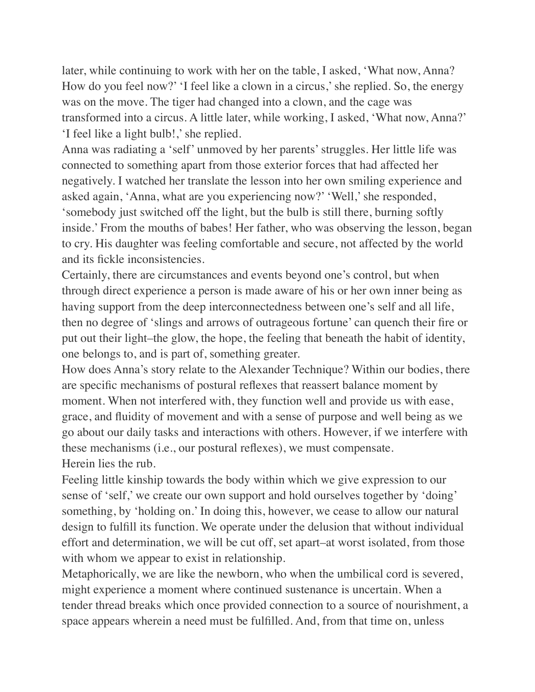later, while continuing to work with her on the table, I asked, 'What now, Anna? How do you feel now?' 'I feel like a clown in a circus,' she replied. So, the energy was on the move. The tiger had changed into a clown, and the cage was transformed into a circus. A little later, while working, I asked, 'What now, Anna?' 'I feel like a light bulb!,' she replied.

Anna was radiating a 'self' unmoved by her parents' struggles. Her little life was connected to something apart from those exterior forces that had affected her negatively. I watched her translate the lesson into her own smiling experience and asked again, 'Anna, what are you experiencing now?' 'Well,' she responded, 'somebody just switched off the light, but the bulb is still there, burning softly inside.' From the mouths of babes! Her father, who was observing the lesson, began to cry. His daughter was feeling comfortable and secure, not affected by the world and its fickle inconsistencies.

Certainly, there are circumstances and events beyond one's control, but when through direct experience a person is made aware of his or her own inner being as having support from the deep interconnectedness between one's self and all life, then no degree of 'slings and arrows of outrageous fortune' can quench their fire or put out their light–the glow, the hope, the feeling that beneath the habit of identity, one belongs to, and is part of, something greater.

How does Anna's story relate to the Alexander Technique? Within our bodies, there are specific mechanisms of postural reflexes that reassert balance moment by moment. When not interfered with, they function well and provide us with ease, grace, and fluidity of movement and with a sense of purpose and well being as we go about our daily tasks and interactions with others. However, if we interfere with these mechanisms (i.e., our postural reflexes), we must compensate. Herein lies the rub.

Feeling little kinship towards the body within which we give expression to our sense of 'self,' we create our own support and hold ourselves together by 'doing' something, by 'holding on.' In doing this, however, we cease to allow our natural design to fulfill its function. We operate under the delusion that without individual effort and determination, we will be cut off, set apart–at worst isolated, from those with whom we appear to exist in relationship.

Metaphorically, we are like the newborn, who when the umbilical cord is severed, might experience a moment where continued sustenance is uncertain. When a tender thread breaks which once provided connection to a source of nourishment, a space appears wherein a need must be fulfilled. And, from that time on, unless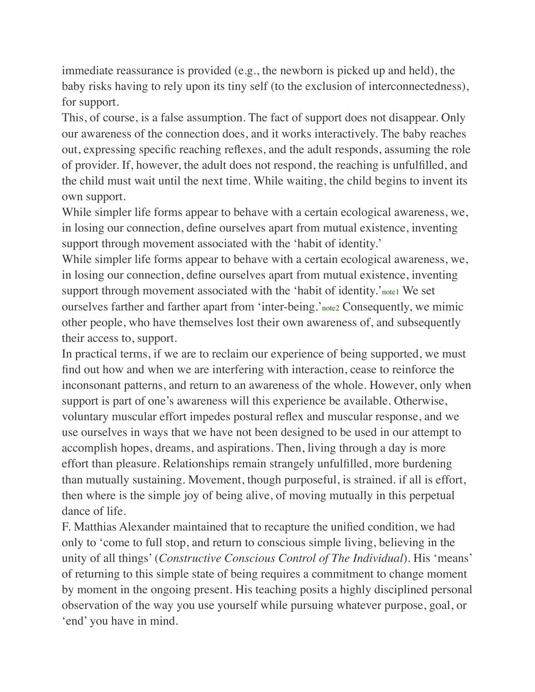immediate reassurance is provided (e.g., the newborn is picked up and held), the baby risks having to rely upon its tiny self (to the exclusion of interconnectedness), for support.

This, of course, is a false assumption. The fact of support does not disappear. Only our awareness of the connection does, and it works interactively. The baby reaches out, expressing specific reaching reflexes, and the adult responds, assuming the role of provider. If, however, the adult does not respond, the reaching is unfulfilled, and the child must wait until the next time. While waiting, the child begins to invent its own support.

While simpler life forms appear to behave with a certain ecological awareness, we, in losing our connection, define ourselves apart from mutual existence, inventing support through movement associated with the 'habit of identity.'

While simpler life forms appear to behave with a certain ecological awareness, we, in losing our connection, define ourselves apart from mutual existence, inventing support through movement associated with the 'habit of identity.'<sub>notel</sub> We set ourselves farther and farther apart from 'inter-being.'[note2](https://easeofbeing.com/lib-tt-stillpoint.htm#en2) Consequently, we mimic other people, who have themselves lost their own awareness of, and subsequently their access to, support.

In practical terms, if we are to reclaim our experience of being supported, we must find out how and when we are interfering with interaction, cease to reinforce the inconsonant patterns, and return to an awareness of the whole. However, only when support is part of one's awareness will this experience be available. Otherwise, voluntary muscular effort impedes postural reflex and muscular response, and we use ourselves in ways that we have not been designed to be used in our attempt to accomplish hopes, dreams, and aspirations. Then, living through a day is more effort than pleasure. Relationships remain strangely unfulfilled, more burdening than mutually sustaining. Movement, though purposeful, is strained. if all is effort, then where is the simple joy of being alive, of moving mutually in this perpetual dance of life.

F. Matthias Alexander maintained that to recapture the unified condition, we had only to 'come to full stop, and return to conscious simple living, believing in the unity of all things' (*Constructive Conscious Control of The Individual*). His 'means' of returning to this simple state of being requires a commitment to change moment by moment in the ongoing present. His teaching posits a highly disciplined personal observation of the way you use yourself while pursuing whatever purpose, goal, or 'end' you have in mind.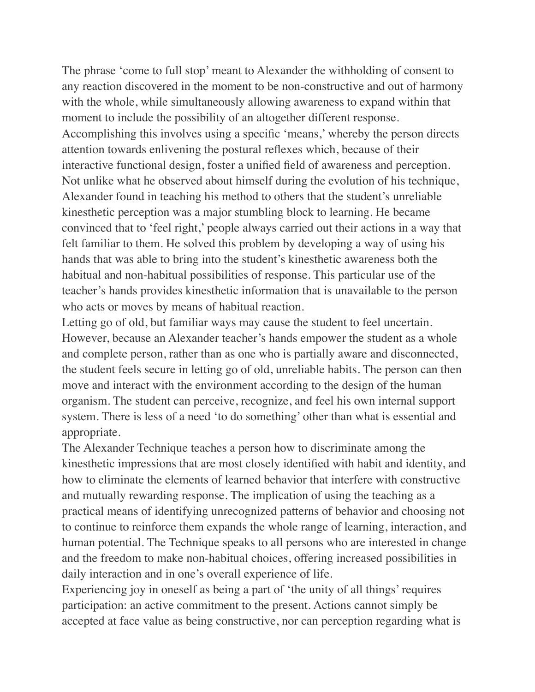The phrase 'come to full stop' meant to Alexander the withholding of consent to any reaction discovered in the moment to be non-constructive and out of harmony with the whole, while simultaneously allowing awareness to expand within that moment to include the possibility of an altogether different response. Accomplishing this involves using a specific 'means,' whereby the person directs attention towards enlivening the postural reflexes which, because of their interactive functional design, foster a unified field of awareness and perception. Not unlike what he observed about himself during the evolution of his technique, Alexander found in teaching his method to others that the student's unreliable kinesthetic perception was a major stumbling block to learning. He became convinced that to 'feel right,' people always carried out their actions in a way that felt familiar to them. He solved this problem by developing a way of using his hands that was able to bring into the student's kinesthetic awareness both the habitual and non-habitual possibilities of response. This particular use of the teacher's hands provides kinesthetic information that is unavailable to the person who acts or moves by means of habitual reaction.

Letting go of old, but familiar ways may cause the student to feel uncertain. However, because an Alexander teacher's hands empower the student as a whole and complete person, rather than as one who is partially aware and disconnected, the student feels secure in letting go of old, unreliable habits. The person can then move and interact with the environment according to the design of the human organism. The student can perceive, recognize, and feel his own internal support system. There is less of a need 'to do something' other than what is essential and appropriate.

The Alexander Technique teaches a person how to discriminate among the kinesthetic impressions that are most closely identified with habit and identity, and how to eliminate the elements of learned behavior that interfere with constructive and mutually rewarding response. The implication of using the teaching as a practical means of identifying unrecognized patterns of behavior and choosing not to continue to reinforce them expands the whole range of learning, interaction, and human potential. The Technique speaks to all persons who are interested in change and the freedom to make non-habitual choices, offering increased possibilities in daily interaction and in one's overall experience of life.

Experiencing joy in oneself as being a part of 'the unity of all things' requires participation: an active commitment to the present. Actions cannot simply be accepted at face value as being constructive, nor can perception regarding what is